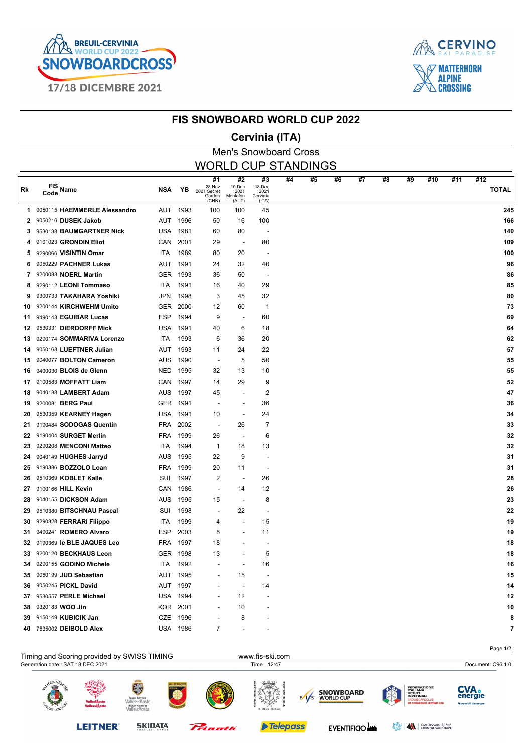



#### **FIS SNOWBOARD WORLD CUP 2022**

### **Cervinia (ITA)**

|           |                              |            |          |                                                |                                           | ורזיון שווויז וטי                         |    |    |    |    |    |    |     |     |                     |
|-----------|------------------------------|------------|----------|------------------------------------------------|-------------------------------------------|-------------------------------------------|----|----|----|----|----|----|-----|-----|---------------------|
|           |                              |            |          |                                                |                                           | <b>Men's Snowboard Cross</b>              |    |    |    |    |    |    |     |     |                     |
|           |                              |            |          | <b>WORLD CUP STANDINGS</b>                     |                                           |                                           |    |    |    |    |    |    |     |     |                     |
| <b>Rk</b> | $FIS$ Name<br>Code           | <b>NSA</b> | YB       | #1<br>28 Nov<br>2021 Secret<br>Garden<br>(CHN) | #2<br>10 Dec<br>2021<br>Montafon<br>(AUT) | #3<br>18 Dec<br>2021<br>Cervinia<br>(ITA) | #4 | #5 | #6 | #7 | #8 | #9 | #10 | #11 | #12<br><b>TOTAL</b> |
| 1.        | 9050115 HAEMMERLE Alessandro | AUT        | 1993     | 100                                            | 100                                       | 45                                        |    |    |    |    |    |    |     |     | 245                 |
| 2         | 9050216 DUSEK Jakob          | <b>AUT</b> | 1996     | 50                                             | 16                                        | 100                                       |    |    |    |    |    |    |     |     | 166                 |
| 3         | 9530138 BAUMGARTNER Nick     | <b>USA</b> | 1981     | 60                                             | 80                                        | $\overline{\phantom{a}}$                  |    |    |    |    |    |    |     |     | 140                 |
| 4         | 9101023 GRONDIN Eliot        | CAN        | 2001     | 29                                             |                                           | 80                                        |    |    |    |    |    |    |     |     | 109                 |
| 5         | 9290066 VISINTIN Omar        | <b>ITA</b> | 1989     | 80                                             | 20                                        |                                           |    |    |    |    |    |    |     |     | 100                 |
| 6         | 9050229 PACHNER Lukas        | <b>AUT</b> | 1991     | 24                                             | 32                                        | 40                                        |    |    |    |    |    |    |     |     | 96                  |
| 7         | 9200088 NOERL Martin         | <b>GER</b> | 1993     | 36                                             | 50                                        | $\overline{\phantom{a}}$                  |    |    |    |    |    |    |     |     | 86                  |
| 8         | 9290112 LEONI Tommaso        | <b>ITA</b> | 1991     | 16                                             | 40                                        | 29                                        |    |    |    |    |    |    |     |     | 85                  |
| 9         | 9300733 TAKAHARA Yoshiki     | <b>JPN</b> | 1998     | 3                                              | 45                                        | 32                                        |    |    |    |    |    |    |     |     | 80                  |
| 10        | 9200144 KIRCHWEHM Umito      | <b>GER</b> | 2000     | 12                                             | 60                                        | $\mathbf 1$                               |    |    |    |    |    |    |     |     | 73                  |
| 11        | 9490143 EGUIBAR Lucas        | <b>ESP</b> | 1994     | 9                                              |                                           | 60                                        |    |    |    |    |    |    |     |     | 69                  |
| 12        | 9530331 DIERDORFF Mick       | <b>USA</b> | 1991     | 40                                             | 6                                         | 18                                        |    |    |    |    |    |    |     |     | 64                  |
| 13.       | 9290174 SOMMARIVA Lorenzo    | <b>ITA</b> | 1993     | 6                                              | 36                                        | 20                                        |    |    |    |    |    |    |     |     | 62                  |
| 14        | 9050168 LUEFTNER Julian      | <b>AUT</b> | 1993     | 11                                             | 24                                        | 22                                        |    |    |    |    |    |    |     |     | 57                  |
| 15        | 9040077 BOLTON Cameron       | <b>AUS</b> | 1990     | $\blacksquare$                                 | 5                                         | 50                                        |    |    |    |    |    |    |     |     | 55                  |
| 16.       | 9400030 BLOIS de Glenn       | <b>NED</b> | 1995     | 32                                             | 13                                        | 10                                        |    |    |    |    |    |    |     |     | 55                  |
| 17        | 9100583 MOFFATT Liam         | CAN        | 1997     | 14                                             | 29                                        | 9                                         |    |    |    |    |    |    |     |     | 52                  |
| 18        | 9040188 LAMBERT Adam         | <b>AUS</b> | 1997     | 45                                             |                                           | 2                                         |    |    |    |    |    |    |     |     | 47                  |
| 19        | 9200081 BERG Paul            | <b>GER</b> | 1991     |                                                |                                           | 36                                        |    |    |    |    |    |    |     |     | 36                  |
| 20        | 9530359 KEARNEY Hagen        | USA        | 1991     | 10                                             |                                           | 24                                        |    |    |    |    |    |    |     |     | 34                  |
| 21        | 9190484 SODOGAS Quentin      |            | FRA 2002 |                                                | 26                                        | 7                                         |    |    |    |    |    |    |     |     | 33                  |
|           |                              |            |          |                                                |                                           |                                           |    |    |    |    |    |    |     |     |                     |

| 21 9190484 SODOGAS Quentin   | FRA             | 2002 | $\blacksquare$           | 26                       | 7  |
|------------------------------|-----------------|------|--------------------------|--------------------------|----|
| 22 9190404 SURGET Merlin     | FRA             | 1999 | 26                       | $\overline{\phantom{a}}$ | 6  |
| 23 9290208 MENCONI Matteo    | <b>ITA</b>      | 1994 | 1                        | 18                       | 13 |
| 24 9040149 HUGHES Jarryd     | AUS             | 1995 | 22                       | 9                        |    |
| 25 9190386 BOZZOLO Loan      | <b>FRA</b>      | 1999 | 20                       | 11                       |    |
| 26 9510369 KOBLET Kalle      | SUI             | 1997 | 2                        | $\overline{\phantom{a}}$ | 26 |
| 27 9100166 HILL Kevin        | <b>CAN</b>      | 1986 |                          | 14                       | 12 |
| 28 9040155 DICKSON Adam      | AUS             | 1995 | 15                       |                          | 8  |
| 29 9510380 BITSCHNAU Pascal  | SUI             | 1998 | $\overline{\phantom{a}}$ | 22                       |    |
| 30 9290328 FERRARI Filippo   | ITA             | 1999 | 4                        | $\overline{\phantom{a}}$ | 15 |
| 31 9490241 ROMERO Alvaro     | ESP             | 2003 | 8                        | $\overline{\phantom{0}}$ | 11 |
| 32 9190369 le BLE JAQUES Leo | FRA             | 1997 | 18                       |                          |    |
| 33 9200120 BECKHAUS Leon     | GER             | 1998 | 13                       | ۰                        | 5  |
| 34 9290155 GODINO Michele    | ITA.            | 1992 | $\overline{\phantom{a}}$ |                          | 16 |
| 35 9050199 JUD Sebastian     | AUT             | 1995 | $\overline{\phantom{a}}$ | 15                       |    |
| 36 9050245 PICKL David       | AUT             | 1997 |                          |                          | 14 |
| 37 9530557 PERLE Michael     | USA             | 1994 |                          | 12                       |    |
| 38 9320183 WOO Jin           | <b>KOR</b>      | 2001 |                          | 10                       |    |
| 39 9150149 KUBICIK Jan       | CZE             | 1996 |                          | 8                        |    |
| 40 7535002 DEIBOLD Alex      | <b>USA 1986</b> |      | $\overline{7}$           |                          |    |